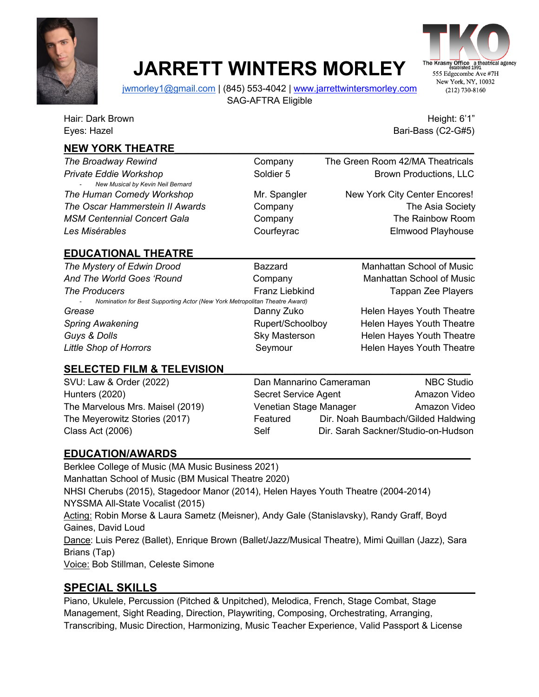

## **JARRETT WINTERS MORLEY**



jwmorley1@gmail.com | (845) 553-4042 | www.jarrettwintersmorley.com SAG-AFTRA Eligible

Eyes: Hazel Bari-Bass (C2-G#5)

Hair: Dark Brown Height: 6'1" And the United States of the United States of the Height: 6'1"

## **NEW YORK THEATRE\_\_\_\_\_\_\_\_\_\_\_\_\_\_\_\_\_\_\_\_\_\_\_\_\_\_\_\_\_\_\_\_\_\_\_\_\_\_\_\_\_\_\_\_\_\_\_\_\_\_\_**

*The Broadway Rewind* Company The Green Room 42/MA Theatricals **Private Eddie Workshop Community Soldier 5 Brown Productions, LLC** - *New Musical by Kevin Neil Bernard* **The Human Comedy Workshop Mr. Spangler Mr. Spangler New York City Center Encores!** *The Oscar Hammerstein II Awards* Company Company The Asia Society **MSM Centennial Concert Gala** Company Company Company The Rainbow Room **Les Misérables** Courfeyrac **Courfeyrac** Elmwood Playhouse

## **EDUCATIONAL THEATRE\_\_\_\_\_\_\_\_\_\_\_\_\_\_\_\_\_\_\_\_\_\_\_\_\_\_\_\_\_\_\_\_\_\_\_\_\_\_\_\_\_\_\_\_\_\_\_\_**

*The Mystery of Edwin Drood* BazzardManhattan School of Music And The World Goes 'Round **Company** Company Manhattan School of Music **The Producers** The Producers **Franz Liebkind** Tappan Zee Players - *Nomination for Best Supporting Actor (New York Metropolitan Theatre Award)* **Grease Danny Zuko Helen Hayes Youth Theatre Danny Zuko Helen Hayes Youth Theatre Spring Awakening The Community Community Rupert/Schoolboy Helen Hayes Youth Theatre Guys & Dolls** Sky Masterson Helen Hayes Youth Theatre **Little Shop of Horrors Theory Seymour** Seymour Helen Hayes Youth Theatre

### SELECTED FILM & TELEVISION

SVU: Law & Order (2022) Dan Mannarino Cameraman NBC Studio Hunters (2020) Secret Service Agent Amazon Video The Marvelous Mrs. Maisel (2019) Venetian Stage Manager Amazon Video The Meyerowitz Stories (2017) Featured Dir. Noah Baumbach/Gilded Haldwing Class Act (2006) Self Dir. Sarah Sackner/Studio-on-Hudson

## **EDUCATION/AWARDS\_\_\_\_\_\_\_\_\_\_\_\_\_\_\_\_\_\_\_\_\_\_\_\_\_\_\_\_\_\_\_\_\_\_\_\_\_\_\_\_\_\_\_\_\_\_\_\_\_\_**

Berklee College of Music (MA Music Business 2021) Manhattan School of Music (BM Musical Theatre 2020) NHSI Cherubs (2015), Stagedoor Manor (2014), Helen Hayes Youth Theatre (2004-2014) NYSSMA All-State Vocalist (2015) Acting: Robin Morse & Laura Sametz (Meisner), Andy Gale (Stanislavsky), Randy Graff, Boyd Gaines, David Loud Dance: Luis Perez (Ballet), Enrique Brown (Ballet/Jazz/Musical Theatre), Mimi Quillan (Jazz), Sara Brians (Tap) Voice: Bob Stillman, Celeste Simone

## **SPECIAL SKILLS\_\_\_\_\_\_\_\_\_\_\_\_\_\_\_\_\_\_\_\_\_\_\_\_\_\_\_\_\_\_\_\_\_\_\_\_\_\_\_\_\_\_\_\_\_\_\_\_\_\_**

Piano, Ukulele, Percussion (Pitched & Unpitched), Melodica, French, Stage Combat, Stage Management, Sight Reading, Direction, Playwriting, Composing, Orchestrating, Arranging, Transcribing, Music Direction, Harmonizing, Music Teacher Experience, Valid Passport & License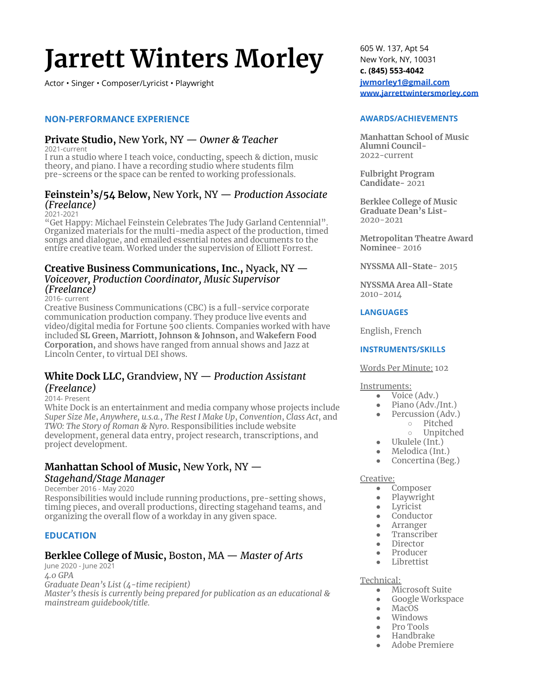# **Jarrett Winters Morley**

Actor · Singer · Composer/Lyricist · Playwright

#### **1213** NON-PERFORMANCE EXPERIENCE

#### **Private Studio, New York, NY — Owner & Teacher**

2021-current

I run a studio where I teach voice, conducting, speech & diction, music theory, and piano. I have a recording studio where students film pre-screens or the space can be rented to working professionals.

#### **Feinstein's/54 Below, New York, NY** — Production Associate *(Freelance)*

2021-2021

"Get Happy: Michael Feinstein Celebrates The Judy Garland Centennial" Organizēd materials for the multi-media aspect of the production, timed songs and dialogue, and emailed essential notes and documents to the entire creative team. Worked under the supervision of Elliott Forrest.

#### **Creative Business Communications, Inc., Nyack, NY**  $-$ *Voiceover, Production Coordinator, Music Supervisor (Freelance)*

#### 2016- current

Creative Business Communications (CBC) is a full-service corporate communication production company. They produce live events and video/digital media for Fortune 500 clients. Companies worked with have included SL Green, Marriott, Johnson & Johnson, and Wakefern Food **Corporation, and shows have ranged from annual shows and Jazz at** Lincoln Center, to virtual DEI shows.

#### **White Dock LLC, Grandview, NY** — Production Assistant *(Freelance)*

#### 2014- Present

White Dock is an entertainment and media company whose projects include *Super Size Me, Anywhere, u.s.a., The Rest I Make*  $\overline{Up}$ *, Convention, Class Act, and TWO: The Story of Roman & Nyro. Responsibilities include website* development, general data entry, project research, transcriptions, and project development.

#### **Manhattan School of Music, New York, NY**  $-$ *Stagehand/Stage Manager*

December 2016 - May 2020

Responsibilities would include running productions, pre-setting shows, timing pieces, and overall productions, directing stagehand teams, and organizing the overall flow of a workday in any given space.

#### **EDUCATION**

### **Berklee College of Music, Boston, MA — Master of Arts**

June 2020 - June 2021 *˓̆ˏ F Graduate Dean's List (4-time recipient) Master's thesis is currently being prepared for publication as an educational & mainstream quidebook/title.* 

605 W. 137, Apt 54 New York, NY, 10031 c. (845) 553-4042 **jwmorley1@gmail.com** www.iarrettwintersmorlev.com

#### $AWARDS/ACHIEVEMENTS$

**Manhattan School of Music Alumni Council-**2022-current

**Fulbright Program** Candidate-2021

**Berklee College of Music Graduate Dean's List-**2020-2021

**Metropolitan Theatre Award Nominee-2016** 

**NYSSMA All-State-2015** 

**NYSSMA** Area All-State 2010-2014

#### **LANGUAGES**

English, French

#### **INSTRUMENTS/SKILLS**

#### **Words Per Minute: 102**

#### Instruments:

- Voice (Adv.)
- Piano (Adv./Int.)
- Percussion (Adv.)
	- $\circ$  Pitched  $\circ$  Unpitched
- Ukulele (Int.)
- Melodica (Int.)
- Concertina (Beg.)

#### Creative:

- Composer
	- Playwright
	- Lyricist
	- Conductor
	- Arranger
	- Transcriber
	- Director
	- Producer
	- Librettist

#### Technical:

- Microsoft Suite
- Google Workspace
- MacOS
- Windows
- Pro Tools
- Handbrake
- Adobe Premiere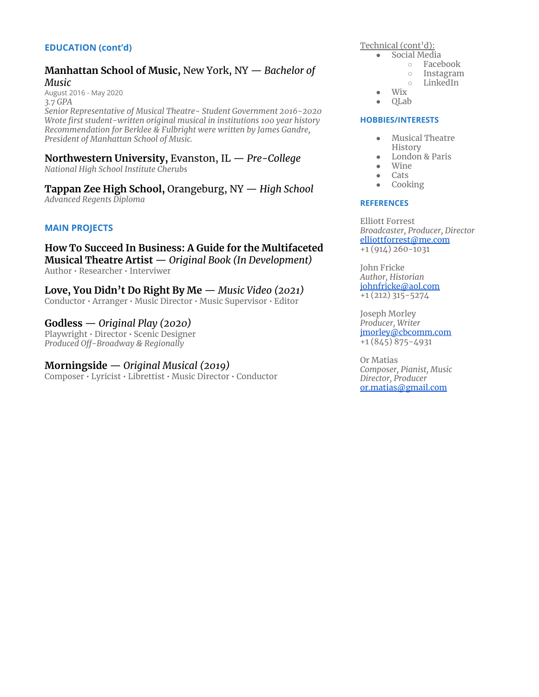#### **EDUCATION (cont'd)**

#### **Manhattan School of Music, New York, NY** — Bachelor of *Music*

August 2016 - May 2020 *˒̆˖ F*

*<u>Senior Representative of Musical Theatre-Student Government 2016-2020</u> Kinh Wrote first student-written original musical in institutions 100 year history Recommendation for Berklee & Fulbright were written by James Gandre, President of Manhattan School of Music.* 

#### **Northwestern University, Evanston, IL** — Pre-College *National High School Institute Cherubs*

**Tappan Zee High School, Orangeburg, NY — High School** *ùƑÖłóāù āėāłŶŭ 'ĢťķŋĿÖ*

#### **MAIN PROJECTS**

**How To Succeed In Business: A Guide for the Multifaceted Musical Theatre Artist**  $-$  Original Book (In Development) Author · Researcher · Interviwer

**Love, You Didn't Do Right By Me**  $-$  **Music Video (2021)** Conductor • Arranger • Music Director • Music Supervisor • Editor

**Godless**  $-$  *Original Play (2020)* Playwright · Director · Scenic Designer *Produced Off-Broadway & Regionally* 

*Morningside — Original Musical (2019)* Composer • Lyricist • Librettist • Music Director • Conductor Technical (cont'd):

- Social Media
	- $\circ$  Facebook
	- $\circ$  Instagram  $\circ$  LinkedIn
	-
- $\bullet$  Wix • QLab

#### **HOBBIES/INTERESTS**

- Musical Theatre History
- London & Paris
- Wine
- Cats
- Cooking

#### **REFERENCES**

Elliott Forrest *Broadcaster, Producer, Director* elliottforrest@me.com  $+1(914)260-1031$ 

**John Fricke** *Author, Historian* johnfricke@aol.com  $+1(212)315 - 5274$ 

Joseph Morley *Producer, Writer* imorlev@cbcomm.com  $+1(845)875 - 4931$ 

Or Matias  $Composer$ *. Pianist. Music*  $Director$ , Producer or.matias@gmail.com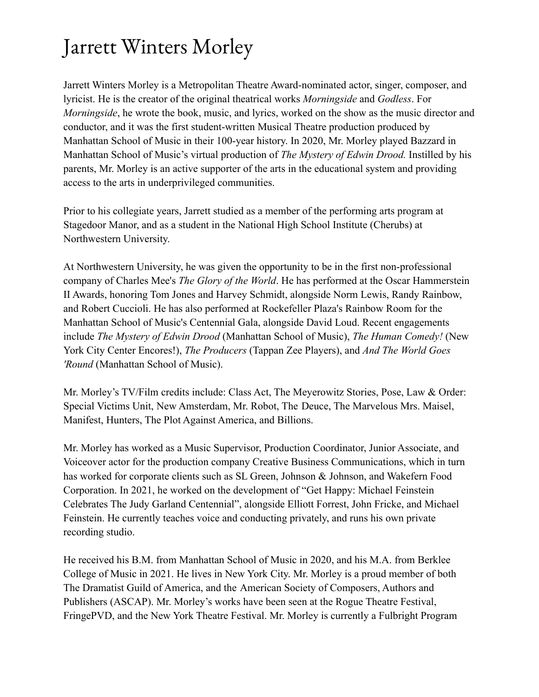## Jarrett Winters Morley

Jarrett Winters Morley is a Metropolitan Theatre Award-nominated actor, singer, composer, and lyricist. He is the creator of the original theatrical works *Morningside* and *Godless*. For *Morningside*, he wrote the book, music, and lyrics, worked on the show as the music director and conductor, and it was the first student-written Musical Theatre production produced by Manhattan School of Music in their 100-year history. In 2020, Mr. Morley played Bazzard in Manhattan School of Music's virtual production of The Mystery of Edwin Drood. Instilled by his parents, Mr. Morley is an active supporter of the arts in the educational system and providing access to the arts in underprivileged communities.

Prior to his collegiate years, Jarrett studied as a member of the performing arts program at Stagedoor Manor, and as a student in the National High School Institute (Cherubs) at Northwestern University.

At Northwestern University, he was given the opportunity to be in the first non-professional company of Charles Mee's *The Glory of the World*. He has performed at the Oscar Hammerstein II Awards, honoring Tom Jones and Harvey Schmidt, alongside Norm Lewis, Randy Rainbow, and Robert Cuccioli. He has also performed at Rockefeller Plaza's Rainbow Room for the Manhattan School of Music's Centennial Gala, alongside David Loud. Recent engagements include The Mystery of Edwin Drood (Manhattan School of Music), The Human Comedy! (New York City Center Encores!), The Producers (Tappan Zee Players), and And The World Goes 'Round (Manhattan School of Music).

Mr. Morley's TV/Film credits include: Class Act, The Meyerowitz Stories, Pose, Law & Order: Special Victims Unit, New Amsterdam, Mr. Robot, The Deuce, The Marvelous Mrs. Maisel, Manifest, Hunters, The Plot Against America, and Billions.

Mr. Morley has worked as a Music Supervisor, Production Coordinator, Junior Associate, and Voiceover actor for the production company Creative Business Communications, which in turn has worked for corporate clients such as SL Green, Johnson & Johnson, and Wakefern Food Corporation. In 2021, he worked on the development of "Get Happy: Michael Feinstein" Celebrates The Judy Garland Centennial", alongside Elliott Forrest, John Fricke, and Michael Feinstein. He currently teaches voice and conducting privately, and runs his own private recording studio.

He received his B.M. from Manhattan School of Music in 2020, and his M.A. from Berklee College of Music in 2021. He lives in New York City. Mr. Morley is a proud member of both The Dramatist Guild of America, and the American Society of Composers, Authors and Publishers (ASCAP). Mr. Morley's works have been seen at the Rogue Theatre Festival, FringePVD, and the New York Theatre Festival. Mr. Morley is currently a Fulbright Program